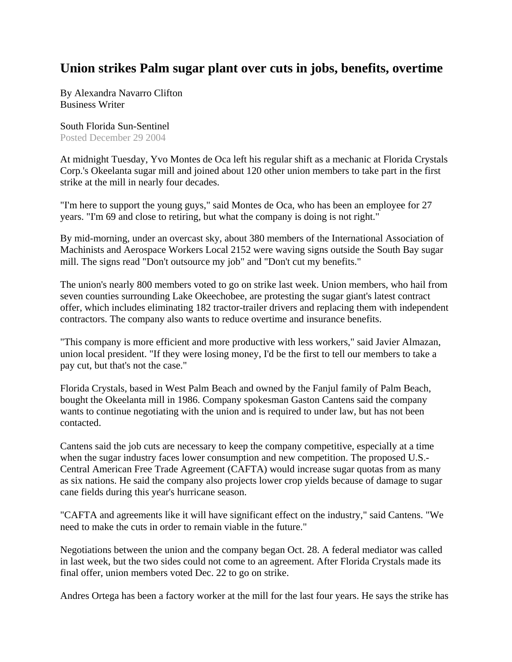## **Union strikes Palm sugar plant over cuts in jobs, benefits, overtime**

By Alexandra Navarro Clifton Business Writer

South Florida Sun-Sentinel Posted December 29 2004

At midnight Tuesday, Yvo Montes de Oca left his regular shift as a mechanic at Florida Crystals Corp.'s Okeelanta sugar mill and joined about 120 other union members to take part in the first strike at the mill in nearly four decades.

"I'm here to support the young guys," said Montes de Oca, who has been an employee for 27 years. "I'm 69 and close to retiring, but what the company is doing is not right."

By mid-morning, under an overcast sky, about 380 members of the International Association of Machinists and Aerospace Workers Local 2152 were waving signs outside the South Bay sugar mill. The signs read "Don't outsource my job" and "Don't cut my benefits."

The union's nearly 800 members voted to go on strike last week. Union members, who hail from seven counties surrounding Lake Okeechobee, are protesting the sugar giant's latest contract offer, which includes eliminating 182 tractor-trailer drivers and replacing them with independent contractors. The company also wants to reduce overtime and insurance benefits.

"This company is more efficient and more productive with less workers," said Javier Almazan, union local president. "If they were losing money, I'd be the first to tell our members to take a pay cut, but that's not the case."

Florida Crystals, based in West Palm Beach and owned by the Fanjul family of Palm Beach, bought the Okeelanta mill in 1986. Company spokesman Gaston Cantens said the company wants to continue negotiating with the union and is required to under law, but has not been contacted.

Cantens said the job cuts are necessary to keep the company competitive, especially at a time when the sugar industry faces lower consumption and new competition. The proposed U.S.- Central American Free Trade Agreement (CAFTA) would increase sugar quotas from as many as six nations. He said the company also projects lower crop yields because of damage to sugar cane fields during this year's hurricane season.

"CAFTA and agreements like it will have significant effect on the industry," said Cantens. "We need to make the cuts in order to remain viable in the future."

Negotiations between the union and the company began Oct. 28. A federal mediator was called in last week, but the two sides could not come to an agreement. After Florida Crystals made its final offer, union members voted Dec. 22 to go on strike.

Andres Ortega has been a factory worker at the mill for the last four years. He says the strike has